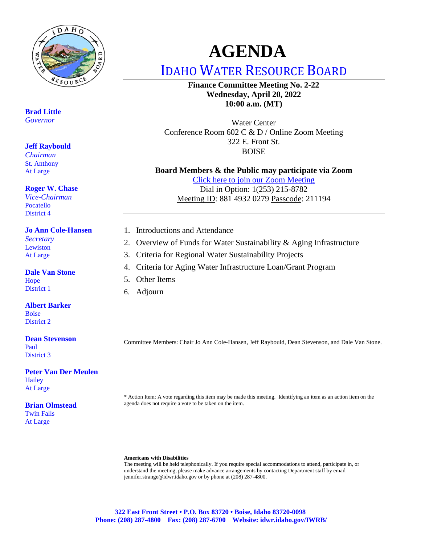

**Brad Little** *Governor*

#### **Jeff Raybould**

*Chairman* St. Anthony At Large

#### **Roger W. Chase**

*Vice-Chairman* Pocatello District 4

#### **Jo Ann Cole-Hansen**

*Secretary* Lewiston At Large

#### **Dale Van Stone**

Hope District 1

**Albert Barker** Boise District 2

#### **Dean Stevenson**

Paul District 3

#### **Peter Van Der Meulen Hailey** At Large

#### **Brian Olmstead**

Twin Falls At Large

# **AGENDA**

IDAHO WATER RESOURCE BOARD

**Finance Committee Meeting No. 2-22 Wednesday, April 20, 2022 10:00 a.m. (MT)**

Water Center Conference Room 602 C & D / Online Zoom Meeting 322 E. Front St. BOISE

#### **Board Members & the Public may participate via Zoom**

[Click here to join our Zoom Meeting](https://us06web.zoom.us/j/88149320279?pwd=Q3JqdjNJR2FXZ0JDNTBLbmc4VmxLdz09) Dial in Option: 1(253) 215-8782 Meeting ID: 881 4932 0279 Passcode: 211194

- 1. Introductions and Attendance
- 2. Overview of Funds for Water Sustainability & Aging Infrastructure
- 3. Criteria for Regional Water Sustainability Projects
- 4. Criteria for Aging Water Infrastructure Loan/Grant Program
- 5. Other Items
- 6. Adjourn

Committee Members: Chair Jo Ann Cole-Hansen, Jeff Raybould, Dean Stevenson, and Dale Van Stone.

\* Action Item: A vote regarding this item may be made this meeting. Identifying an item as an action item on the agenda does not require a vote to be taken on the item.

#### **Americans with Disabilities**

The meeting will be held telephonically. If you require special accommodations to attend, participate in, or understand the meeting, please make advance arrangements by contacting Department staff by email jennifer.strange@idwr.idaho.gov or by phone at (208) 287-4800.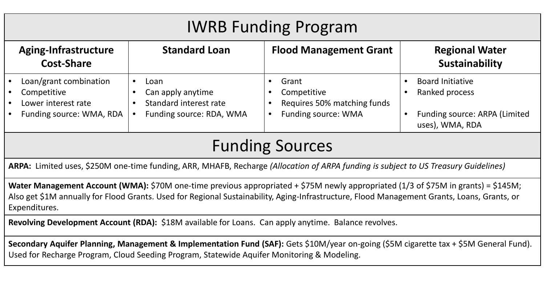# IWRB Funding Program

| Aging-Infrastructure<br><b>Cost-Share</b> |                                                              | <b>Standard Loan</b> |                                                     | <b>Flood Management Grant</b>                       |  | <b>Regional Water</b><br>Sustainability          |  |
|-------------------------------------------|--------------------------------------------------------------|----------------------|-----------------------------------------------------|-----------------------------------------------------|--|--------------------------------------------------|--|
|                                           | Loan/grant combination<br>Competitive<br>Lower interest rate |                      | Loan<br>Can apply anytime<br>Standard interest rate | Grant<br>Competitive<br>Requires 50% matching funds |  | <b>Board Initiative</b><br>Ranked process        |  |
|                                           | Funding source: WMA, RDA                                     |                      | Funding source: RDA, WMA                            | <b>Funding source: WMA</b>                          |  | Funding source: ARPA (Limited<br>uses), WMA, RDA |  |

# Funding Sources

**ARPA:** Limited uses, \$250M one-time funding, ARR, MHAFB, Recharge *(Allocation of ARPA funding is subject to US Treasury Guidelines)*

**Water Management Account (WMA):** \$70M one-time previous appropriated + \$75M newly appropriated (1/3 of \$75M in grants) = \$145M; Also get \$1M annually for Flood Grants. Used for Regional Sustainability, Aging-Infrastructure, Flood Management Grants, Loans, Grants, or Expenditures.

**Revolving Development Account (RDA):** \$18M available for Loans. Can apply anytime. Balance revolves.

**Secondary Aquifer Planning, Management & Implementation Fund (SAF):** Gets \$10M/year on-going (\$5M cigarette tax + \$5M General Fund). Used for Recharge Program, Cloud Seeding Program, Statewide Aquifer Monitoring & Modeling.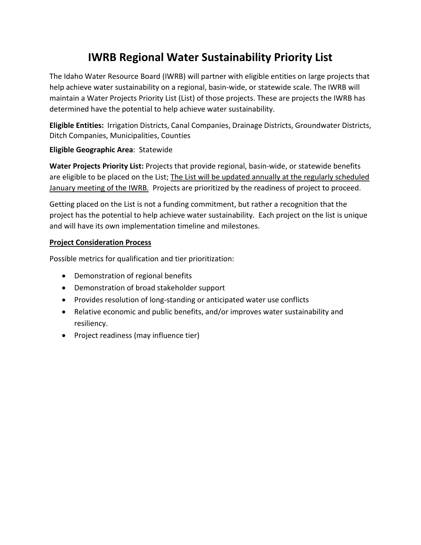# **IWRB Regional Water Sustainability Priority List**

The Idaho Water Resource Board (IWRB) will partner with eligible entities on large projects that help achieve water sustainability on a regional, basin-wide, or statewide scale. The IWRB will maintain a Water Projects Priority List (List) of those projects. These are projects the IWRB has determined have the potential to help achieve water sustainability.

**Eligible Entities:** Irrigation Districts, Canal Companies, Drainage Districts, Groundwater Districts, Ditch Companies, Municipalities, Counties

#### **Eligible Geographic Area**: Statewide

**Water Projects Priority List:** Projects that provide regional, basin-wide, or statewide benefits are eligible to be placed on the List; The List will be updated annually at the regularly scheduled January meeting of the IWRB. Projects are prioritized by the readiness of project to proceed.

Getting placed on the List is not a funding commitment, but rather a recognition that the project has the potential to help achieve water sustainability. Each project on the list is unique and will have its own implementation timeline and milestones.

#### **Project Consideration Process**

Possible metrics for qualification and tier prioritization:

- Demonstration of regional benefits
- Demonstration of broad stakeholder support
- Provides resolution of long-standing or anticipated water use conflicts
- Relative economic and public benefits, and/or improves water sustainability and resiliency.
- Project readiness (may influence tier)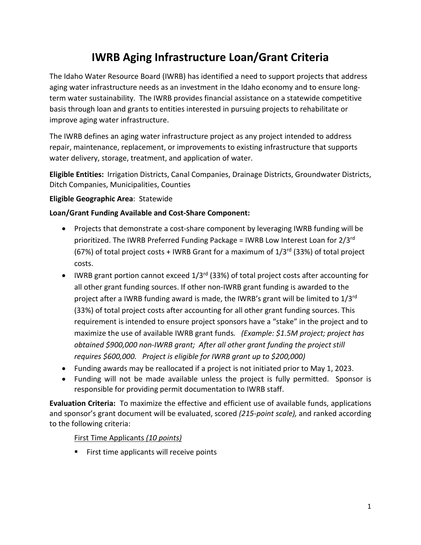# **IWRB Aging Infrastructure Loan/Grant Criteria**

The Idaho Water Resource Board (IWRB) has identified a need to support projects that address aging water infrastructure needs as an investment in the Idaho economy and to ensure longterm water sustainability. The IWRB provides financial assistance on a statewide competitive basis through loan and grants to entities interested in pursuing projects to rehabilitate or improve aging water infrastructure.

The IWRB defines an aging water infrastructure project as any project intended to address repair, maintenance, replacement, or improvements to existing infrastructure that supports water delivery, storage, treatment, and application of water.

**Eligible Entities:** Irrigation Districts, Canal Companies, Drainage Districts, Groundwater Districts, Ditch Companies, Municipalities, Counties

## **Eligible Geographic Area**: Statewide

## **Loan/Grant Funding Available and Cost-Share Component:**

- Projects that demonstrate a cost-share component by leveraging IWRB funding will be prioritized. The IWRB Preferred Funding Package = IWRB Low Interest Loan for 2/3rd (67%) of total project costs + IWRB Grant for a maximum of  $1/3^{rd}$  (33%) of total project costs.
- IWRB grant portion cannot exceed  $1/3^{rd}$  (33%) of total project costs after accounting for all other grant funding sources. If other non-IWRB grant funding is awarded to the project after a IWRB funding award is made, the IWRB's grant will be limited to 1/3<sup>rd</sup> (33%) of total project costs after accounting for all other grant funding sources. This requirement is intended to ensure project sponsors have a "stake" in the project and to maximize the use of available IWRB grant funds*. (Example: \$1.5M project; project has obtained \$900,000 non-IWRB grant; After all other grant funding the project still requires \$600,000. Project is eligible for IWRB grant up to \$200,000)*
- Funding awards may be reallocated if a project is not initiated prior to May 1, 2023.
- Funding will not be made available unless the project is fully permitted. Sponsor is responsible for providing permit documentation to IWRB staff.

**Evaluation Criteria:** To maximize the effective and efficient use of available funds, applications and sponsor's grant document will be evaluated, scored *(215-point scale),* and ranked according to the following criteria:

#### First Time Applicants *(10 points)*

**First time applicants will receive points**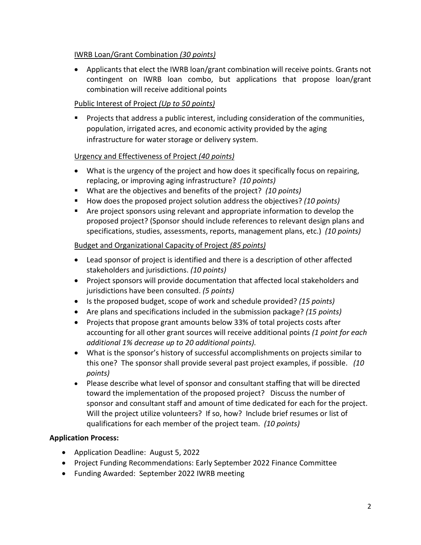## IWRB Loan/Grant Combination *(30 points)*

• Applicants that elect the IWRB loan/grant combination will receive points. Grants not contingent on IWRB loan combo, but applications that propose loan/grant combination will receive additional points

## Public Interest of Project *(Up to 50 points)*

**Projects that address a public interest, including consideration of the communities,** population, irrigated acres, and economic activity provided by the aging infrastructure for water storage or delivery system.

## Urgency and Effectiveness of Project *(40 points)*

- What is the urgency of the project and how does it specifically focus on repairing, replacing, or improving aging infrastructure? *(10 points)*
- What are the objectives and benefits of the project? *(10 points)*
- How does the proposed project solution address the objectives? *(10 points)*
- Are project sponsors using relevant and appropriate information to develop the proposed project? (Sponsor should include references to relevant design plans and specifications, studies, assessments, reports, management plans, etc.) *(10 points)*

## Budget and Organizational Capacity of Project *(85 points)*

- Lead sponsor of project is identified and there is a description of other affected stakeholders and jurisdictions. *(10 points)*
- Project sponsors will provide documentation that affected local stakeholders and jurisdictions have been consulted. *(5 points)*
- Is the proposed budget, scope of work and schedule provided? *(15 points)*
- Are plans and specifications included in the submission package? *(15 points)*
- Projects that propose grant amounts below 33% of total projects costs after accounting for all other grant sources will receive additional points *(1 point for each additional 1% decrease up to 20 additional points).*
- What is the sponsor's history of successful accomplishments on projects similar to this one? The sponsor shall provide several past project examples, if possible. *(10 points)*
- Please describe what level of sponsor and consultant staffing that will be directed toward the implementation of the proposed project? Discuss the number of sponsor and consultant staff and amount of time dedicated for each for the project. Will the project utilize volunteers? If so, how? Include brief resumes or list of qualifications for each member of the project team. *(10 points)*

# **Application Process:**

- Application Deadline: August 5, 2022
- Project Funding Recommendations: Early September 2022 Finance Committee
- Funding Awarded: September 2022 IWRB meeting